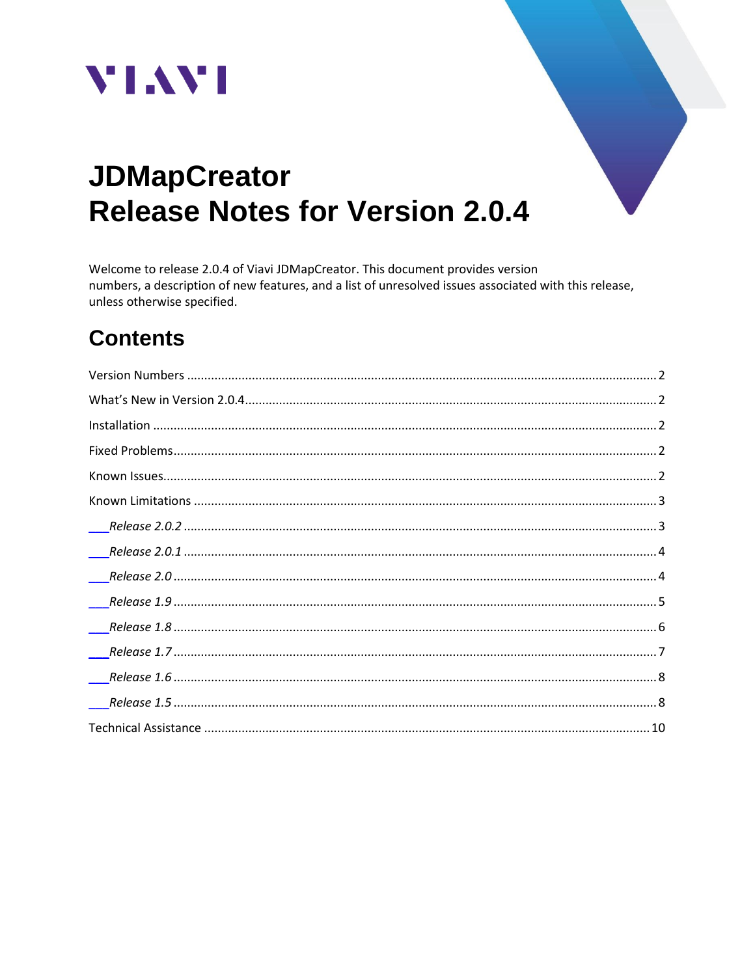



# **JDMapCreator Release Notes for Version 2.0.4**

Welcome to release 2.0.4 of Viavi JDMapCreator. This document provides version numbers, a description of new features, and a list of unresolved issues associated with this release, unless otherwise specified.

# **Contents**

| $\overline{\phantom{a}}$ |
|--------------------------|
|                          |
|                          |
|                          |
|                          |
|                          |
|                          |
|                          |
|                          |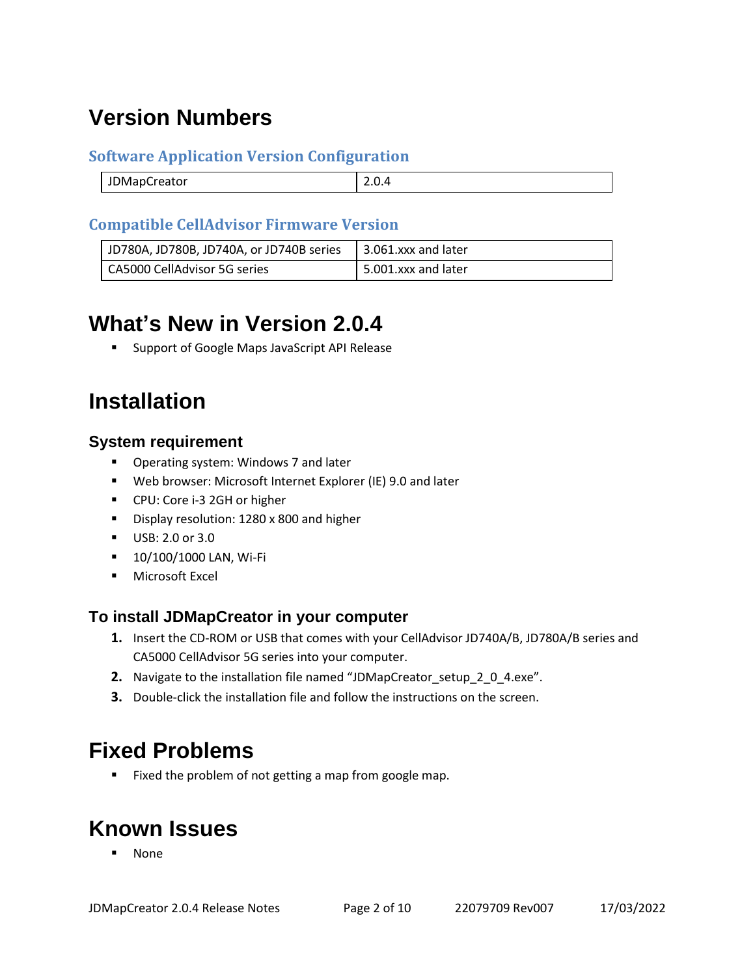# <span id="page-1-0"></span>**Version Numbers**

#### **Software Application Version Configuration**

| ------<br>)Mani<br>TUMAPCreator |  |
|---------------------------------|--|
|                                 |  |

#### **Compatible CellAdvisor Firmware Version**

| JD780A, JD780B, JD740A, or JD740B series | $\vert$ 3.061.xxx and later |
|------------------------------------------|-----------------------------|
| CA5000 CellAdvisor 5G series             | 5.001.xxx and later         |

# <span id="page-1-1"></span>**What's New in Version 2.0.4**

■ Support of Google Maps JavaScript API Release

# <span id="page-1-2"></span>**Installation**

#### **System requirement**

- Operating system: Windows 7 and later
- Web browser: Microsoft Internet Explorer (IE) 9.0 and later
- CPU: Core i-3 2GH or higher
- Display resolution: 1280 x 800 and higher
- USB: 2.0 or 3.0
- **10/100/1000 LAN, Wi-Fi**
- **■** Microsoft Excel

#### **To install JDMapCreator in your computer**

- **1.** Insert the CD-ROM or USB that comes with your CellAdvisor JD740A/B, JD780A/B series and CA5000 CellAdvisor 5G series into your computer.
- **2.** Navigate to the installation file named "JDMapCreator\_setup\_2\_0\_4.exe".
- **3.** Double-click the installation file and follow the instructions on the screen.

### <span id="page-1-3"></span>**Fixed Problems**

■ Fixed the problem of not getting a map from google map.

# <span id="page-1-4"></span>**Known Issues**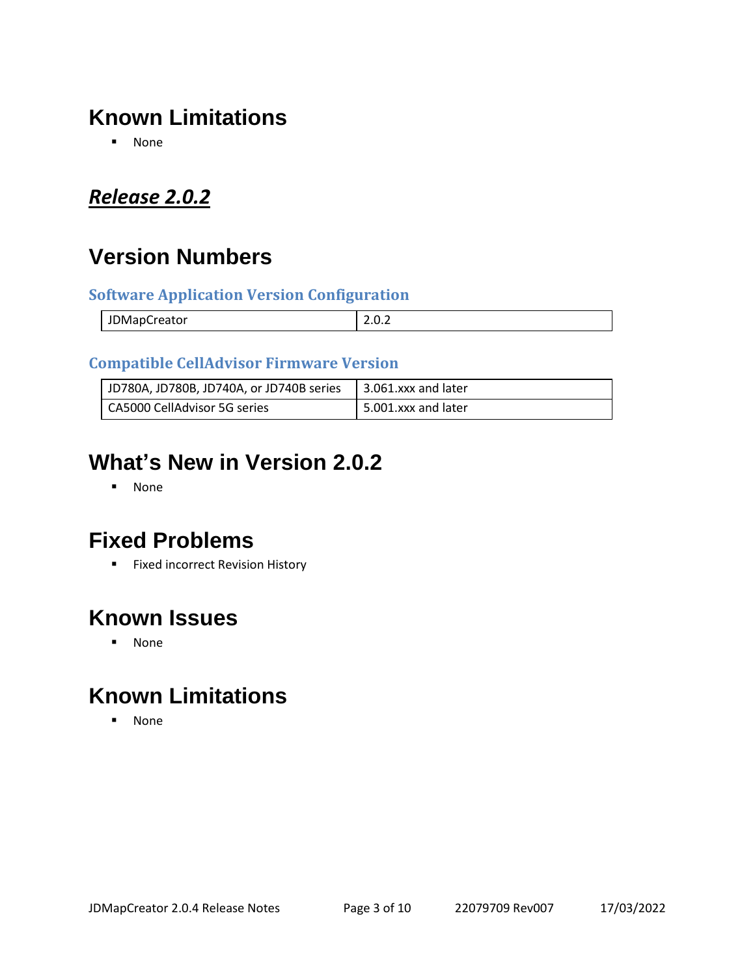# <span id="page-2-0"></span>**Known Limitations**

▪ None

### <span id="page-2-1"></span>*Release 2.0.2*

# **Version Numbers**

#### **Software Application Version Configuration**

| JDMapCreator | . |
|--------------|---|
|              |   |

#### **Compatible CellAdvisor Firmware Version**

| JD780A, JD780B, JD740A, or JD740B series | $\vert$ 3.061.xxx and later |
|------------------------------------------|-----------------------------|
| CA5000 CellAdvisor 5G series             | 5.001.xxx and later         |

# **What's New in Version 2.0.2**

▪ None

### **Fixed Problems**

■ Fixed incorrect Revision History

#### **Known Issues**

▪ None

# **Known Limitations**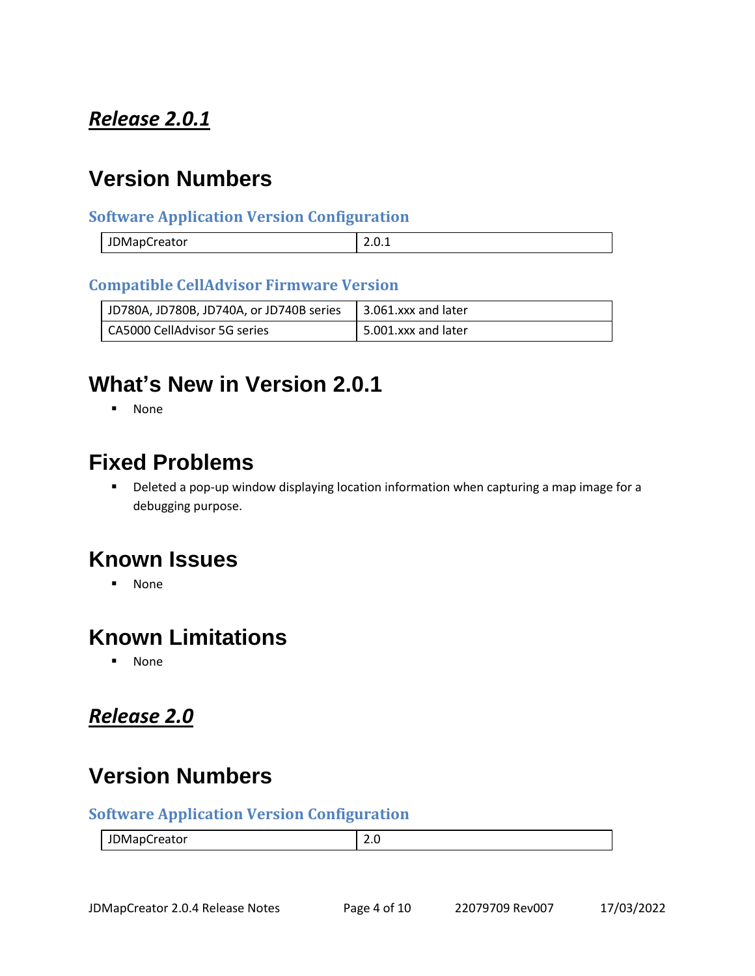### <span id="page-3-0"></span>*Release 2.0.1*

### **Version Numbers**

#### **Software Application Version Configuration**

| JDMapCreator | $\sim$<br><u></u> |
|--------------|-------------------|

#### **Compatible CellAdvisor Firmware Version**

| JD780A, JD780B, JD740A, or JD740B series | 13.061.xxx and later  |
|------------------------------------------|-----------------------|
| CA5000 CellAdvisor 5G series             | 1 5.001.xxx and later |

### **What's New in Version 2.0.1**

■ None

#### **Fixed Problems**

■ Deleted a pop-up window displaying location information when capturing a map image for a debugging purpose.

### **Known Issues**

■ None

#### **Known Limitations**

▪ None

### <span id="page-3-1"></span>*Release 2.0*

# **Version Numbers**

#### **Software Application Version Configuration**

| JDMapCreator | -<br>-.-<br>__ |
|--------------|----------------|
|--------------|----------------|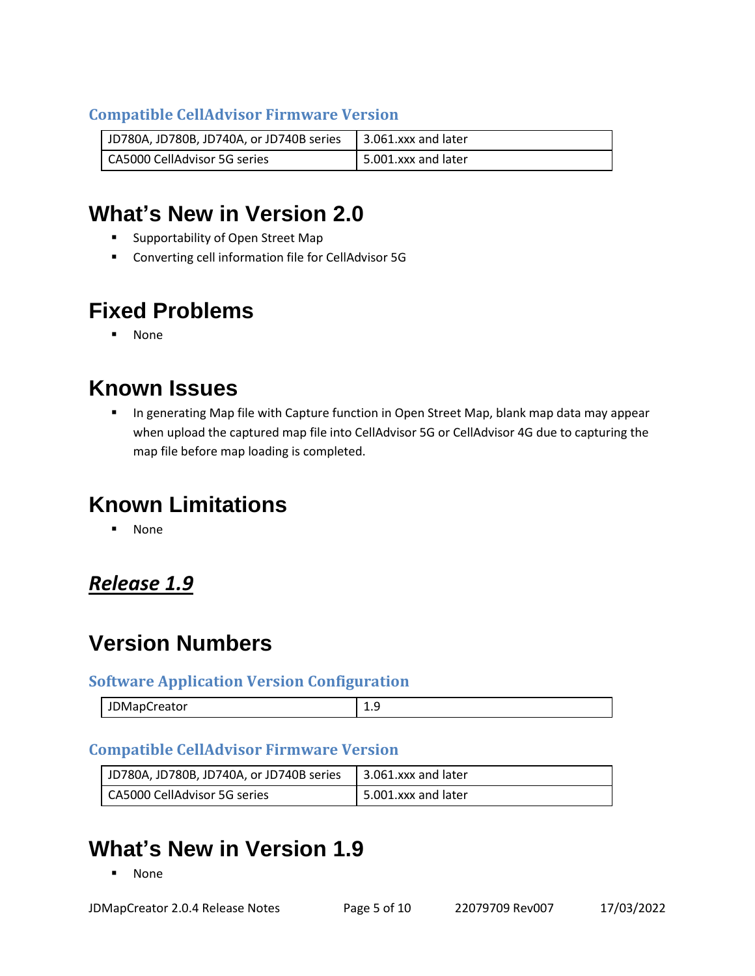#### **Compatible CellAdvisor Firmware Version**

| JD780A, JD780B, JD740A, or JD740B series   3.061.xxx and later |                     |
|----------------------------------------------------------------|---------------------|
| CA5000 CellAdvisor 5G series                                   | 5.001.xxx and later |

# **What's New in Version 2.0**

- Supportability of Open Street Map
- Converting cell information file for CellAdvisor 5G

# **Fixed Problems**

▪ None

# **Known Issues**

■ In generating Map file with Capture function in Open Street Map, blank map data may appear when upload the captured map file into CellAdvisor 5G or CellAdvisor 4G due to capturing the map file before map loading is completed.

# **Known Limitations**

▪ None

### <span id="page-4-0"></span>*Release 1.9*

# **Version Numbers**

#### **Software Application Version Configuration**

| `)ManC∟<br>  JDMapCreator | --<br>the contract of the contract of the |
|---------------------------|-------------------------------------------|
|                           |                                           |

#### **Compatible CellAdvisor Firmware Version**

| JD780A, JD780B, JD740A, or JD740B series   3.061.xxx and later |                     |
|----------------------------------------------------------------|---------------------|
| CA5000 CellAdvisor 5G series                                   | 5.001.xxx and later |

# **What's New in Version 1.9**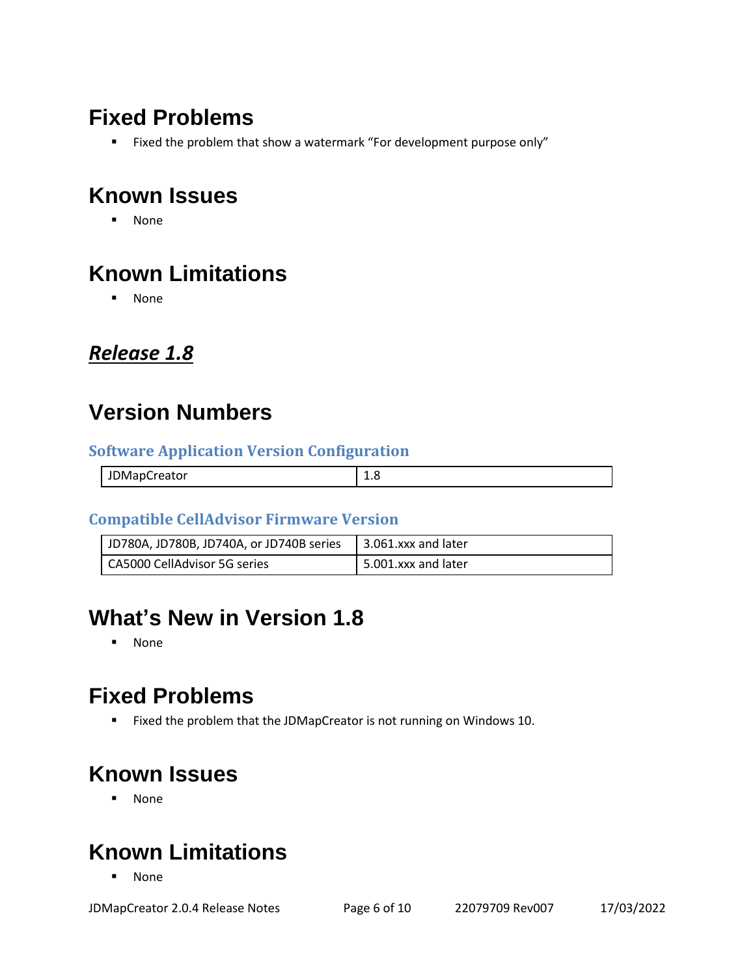# **Fixed Problems**

■ Fixed the problem that show a watermark "For development purpose only"

# **Known Issues**

▪ None

# **Known Limitations**

▪ None

#### <span id="page-5-0"></span>*Release 1.8*

### **Version Numbers**

#### **Software Application Version Configuration**

| <b>JDMapCreator</b> | --- |
|---------------------|-----|

#### **Compatible CellAdvisor Firmware Version**

| JD780A, JD780B, JD740A, or JD740B series $\vert$ 3.061.xxx and later |                     |
|----------------------------------------------------------------------|---------------------|
| CA5000 CellAdvisor 5G series                                         | 5.001.xxx and later |

# **What's New in Version 1.8**

▪ None

# **Fixed Problems**

■ Fixed the problem that the JDMapCreator is not running on Windows 10.

# **Known Issues**

▪ None

# **Known Limitations**

**None**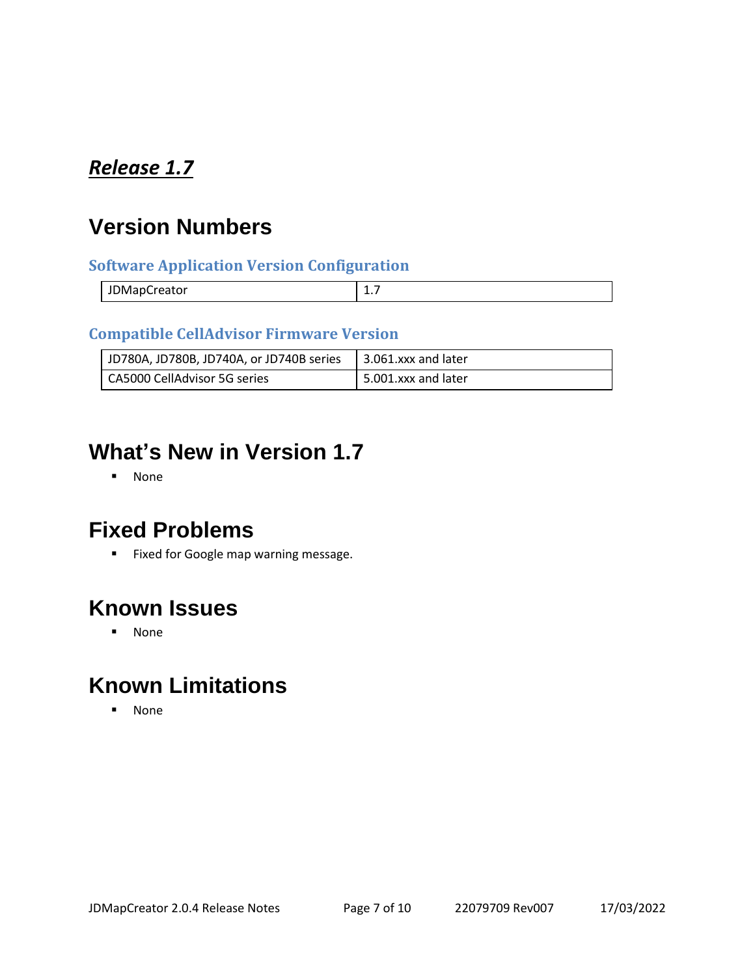### <span id="page-6-0"></span>*Release 1.7*

# **Version Numbers**

#### **Software Application Version Configuration**

| -<br>JDMapCreator<br>. |  |
|------------------------|--|
|                        |  |

#### **Compatible CellAdvisor Firmware Version**

| JD780A, JD780B, JD740A, or JD740B series | $\vert$ 3.061.xxx and later |
|------------------------------------------|-----------------------------|
| CA5000 CellAdvisor 5G series             | 1 5.001.xxx and later       |

### **What's New in Version 1.7**

▪ None

### **Fixed Problems**

■ Fixed for Google map warning message.

### **Known Issues**

▪ None

# **Known Limitations**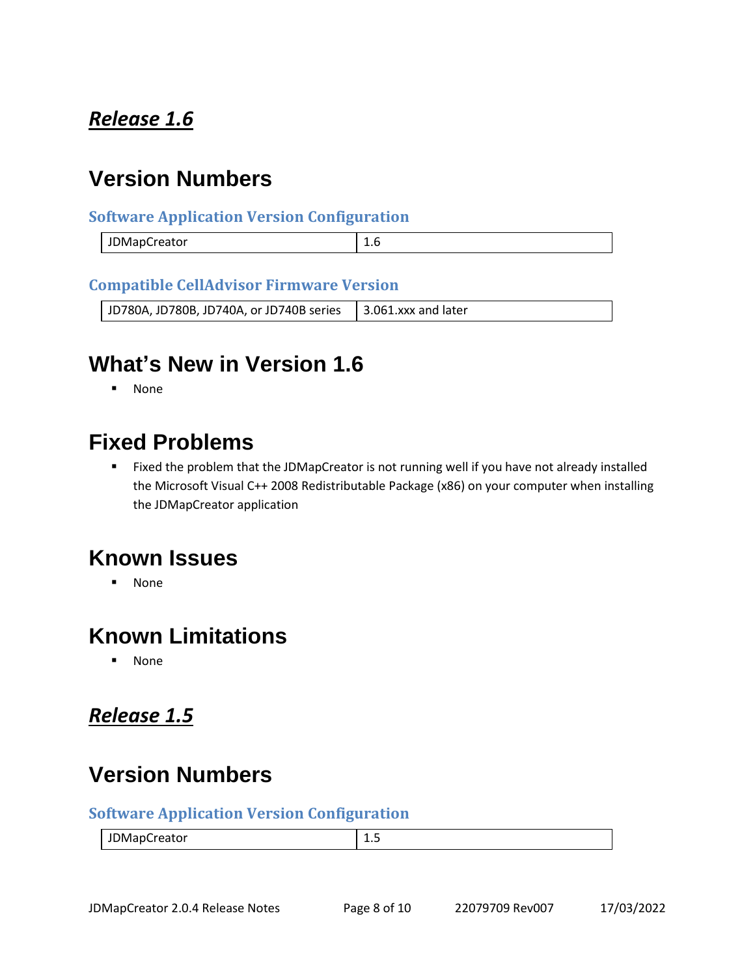### <span id="page-7-0"></span>*Release 1.6*

### **Version Numbers**

#### **Software Application Version Configuration**

| JDMapCr | ∸∙ |
|---------|----|
| Creator | __ |

#### **Compatible CellAdvisor Firmware Version**

| JD780A, JD780B, JD740A, or JD740B series $\vert$ 3.061.xxx and later |  |
|----------------------------------------------------------------------|--|
|----------------------------------------------------------------------|--|

### **What's New in Version 1.6**

▪ None

#### **Fixed Problems**

■ Fixed the problem that the JDMapCreator is not running well if you have not already installed the Microsoft Visual C++ 2008 Redistributable Package (x86) on your computer when installing the JDMapCreator application

#### **Known Issues**

▪ None

### **Known Limitations**

▪ None

#### <span id="page-7-1"></span>*Release 1.5*

# **Version Numbers**

#### **Software Application Version Configuration**

| - - -<br>)Mar<br>ווהי<br>.<br><b>JUIVIQUU CALUI</b> | ∸⊷<br>__ |
|-----------------------------------------------------|----------|
|-----------------------------------------------------|----------|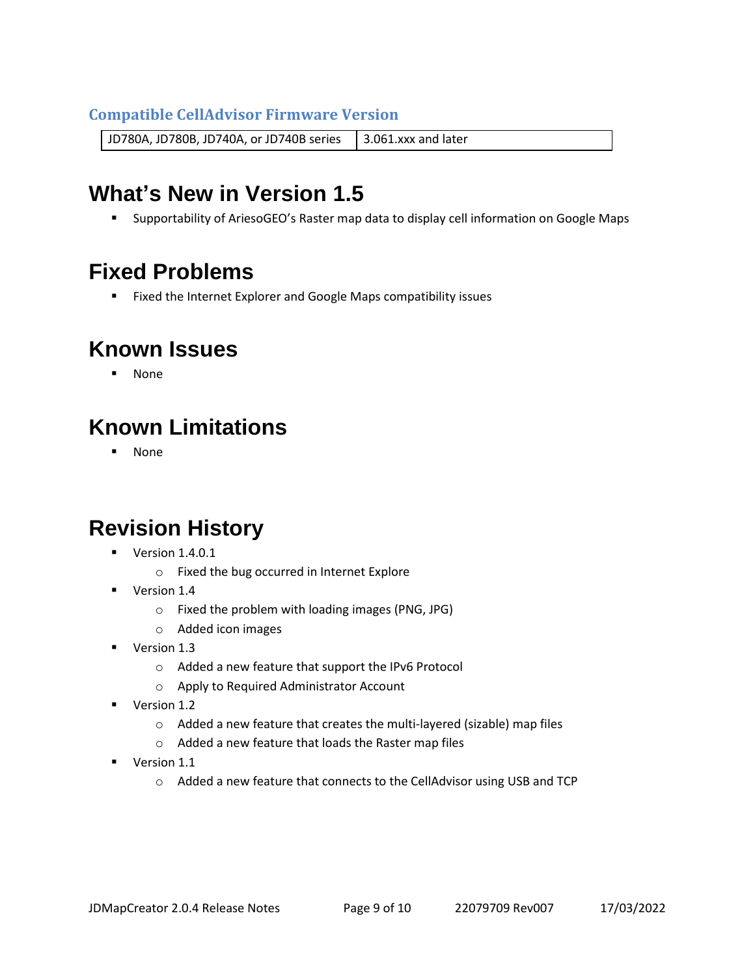#### **Compatible CellAdvisor Firmware Version**

JD780A, JD780B, JD740A, or JD740B series 3.061.xxx and later

# **What's New in Version 1.5**

■ Supportability of AriesoGEO's Raster map data to display cell information on Google Maps

# **Fixed Problems**

■ Fixed the Internet Explorer and Google Maps compatibility issues

### **Known Issues**

▪ None

# **Known Limitations**

▪ None

# **Revision History**

- Version 1.4.0.1
	- o Fixed the bug occurred in Internet Explore
- Version 1.4
	- o Fixed the problem with loading images (PNG, JPG)
	- o Added icon images
- Version 1.3
	- o Added a new feature that support the IPv6 Protocol
	- o Apply to Required Administrator Account
- Version 1.2
	- o Added a new feature that creates the multi-layered (sizable) map files
	- o Added a new feature that loads the Raster map files
- Version 1.1
	- o Added a new feature that connects to the CellAdvisor using USB and TCP